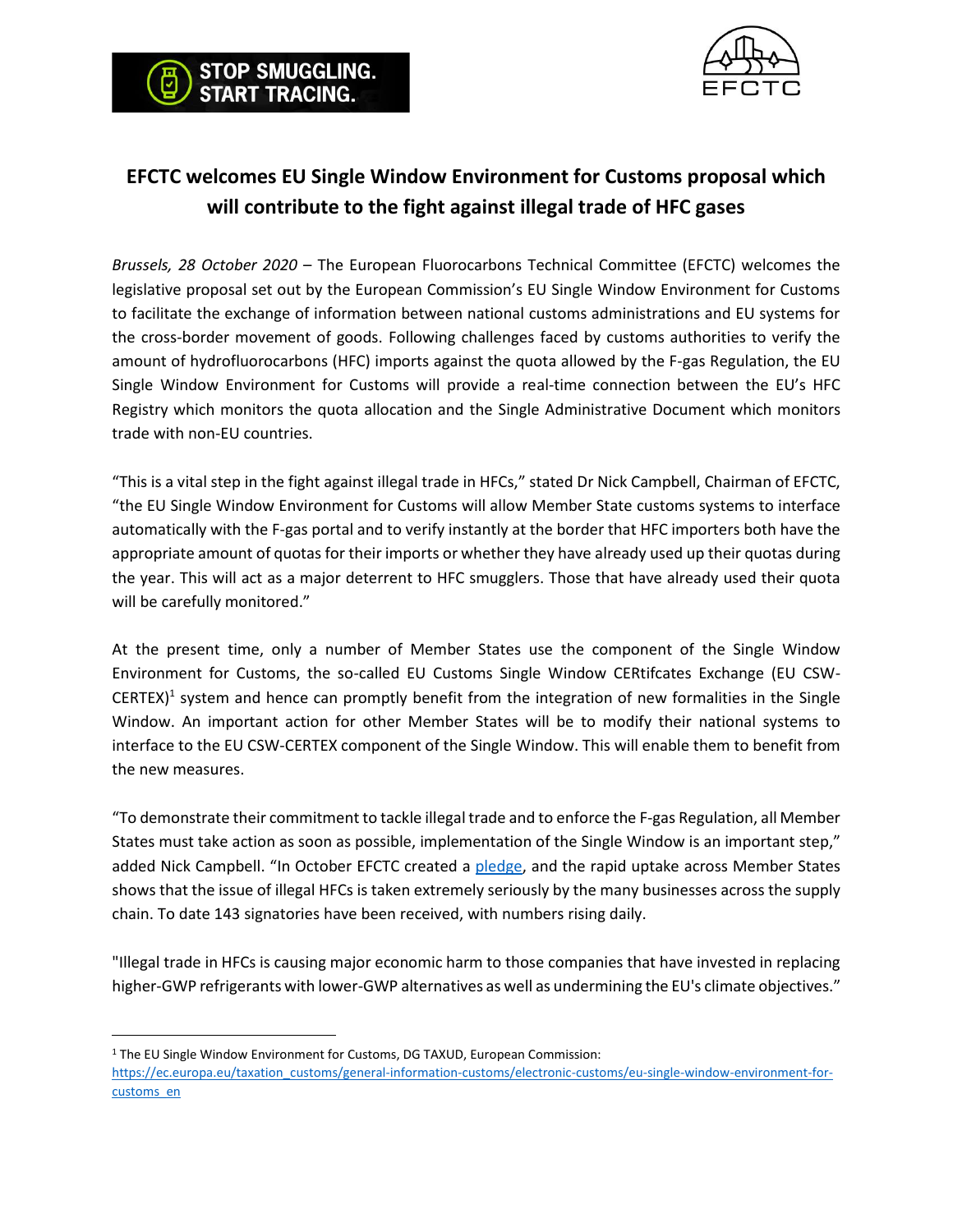



## **EFCTC welcomes EU Single Window Environment for Customs proposal which will contribute to the fight against illegal trade of HFC gases**

*Brussels, 28 October 2020* – The European Fluorocarbons Technical Committee (EFCTC) welcomes the legislative proposal set out by the European Commission's EU Single Window Environment for Customs to facilitate the exchange of information between national customs administrations and EU systems for the cross-border movement of goods. Following challenges faced by customs authorities to verify the amount of hydrofluorocarbons (HFC) imports against the quota allowed by the F-gas Regulation, the EU Single Window Environment for Customs will provide a real-time connection between the EU's HFC Registry which monitors the quota allocation and the Single Administrative Document which monitors trade with non-EU countries.

"This is a vital step in the fight against illegal trade in HFCs," stated Dr Nick Campbell, Chairman of EFCTC, "the EU Single Window Environment for Customs will allow Member State customs systems to interface automatically with the F-gas portal and to verify instantly at the border that HFC importers both have the appropriate amount of quotas for their imports or whether they have already used up their quotas during the year. This will act as a major deterrent to HFC smugglers. Those that have already used their quota will be carefully monitored."

At the present time, only a number of Member States use the component of the Single Window Environment for Customs, the so-called EU Customs Single Window CERtifcates Exchange (EU CSW-CERTEX)<sup>1</sup> system and hence can promptly benefit from the integration of new formalities in the Single Window. An important action for other Member States will be to modify their national systems to interface to the EU CSW-CERTEX component of the Single Window. This will enable them to benefit from the new measures.

"To demonstrate their commitment to tackle illegal trade and to enforce the F-gas Regulation, all Member States must take action as soon as possible, implementation of the Single Window is an important step," added Nick Campbell. "In October EFCTC created a [pledge,](http://www.stopillegalcooling.eu/pledge) and the rapid uptake across Member States shows that the issue of illegal HFCs is taken extremely seriously by the many businesses across the supply chain. To date 143 signatories have been received, with numbers rising daily.

"Illegal trade in HFCs is causing major economic harm to those companies that have invested in replacing higher-GWP refrigerants with lower-GWP alternatives as well as undermining the EU's climate objectives."

<sup>&</sup>lt;sup>1</sup> The EU Single Window Environment for Customs, DG TAXUD, European Commission:

[https://ec.europa.eu/taxation\\_customs/general-information-customs/electronic-customs/eu-single-window-environment-for](https://ec.europa.eu/taxation_customs/general-information-customs/electronic-customs/eu-single-window-environment-for-customs_en)[customs\\_en](https://ec.europa.eu/taxation_customs/general-information-customs/electronic-customs/eu-single-window-environment-for-customs_en)